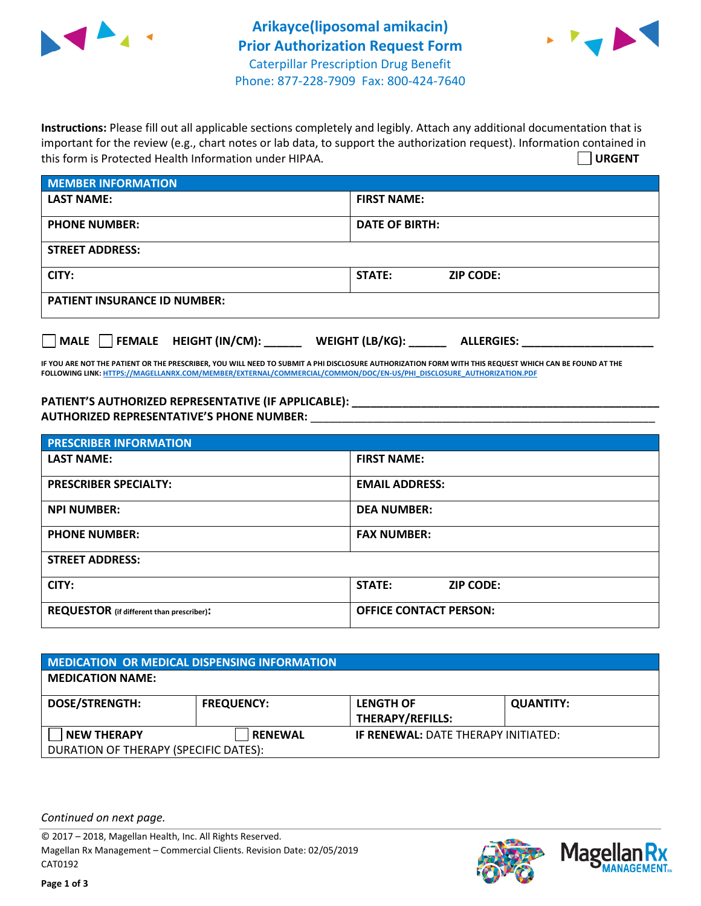



**Instructions:** Please fill out all applicable sections completely and legibly. Attach any additional documentation that is important for the review (e.g., chart notes or lab data, to support the authorization request). Information contained in this form is Protected Health Information under HIPAA. **URGENT**

| <b>MEMBER INFORMATION</b>             |                                      |  |  |  |
|---------------------------------------|--------------------------------------|--|--|--|
| <b>LAST NAME:</b>                     | <b>FIRST NAME:</b>                   |  |  |  |
| <b>PHONE NUMBER:</b>                  | <b>DATE OF BIRTH:</b>                |  |  |  |
| <b>STREET ADDRESS:</b>                |                                      |  |  |  |
| CITY:                                 | <b>STATE:</b><br><b>ZIP CODE:</b>    |  |  |  |
| <b>PATIENT INSURANCE ID NUMBER:</b>   |                                      |  |  |  |
| FEMALE HEIGHT (IN/CM):<br><b>MALE</b> | WEIGHT (LB/KG):<br><b>ALLERGIES:</b> |  |  |  |

**IF YOU ARE NOT THE PATIENT OR THE PRESCRIBER, YOU WILL NEED TO SUBMIT A PHI DISCLOSURE AUTHORIZATION FORM WITH THIS REQUEST WHICH CAN BE FOUND AT THE FOLLOWING LINK[: HTTPS://MAGELLANRX.COM/MEMBER/EXTERNAL/COMMERCIAL/COMMON/DOC/EN-US/PHI\\_DISCLOSURE\\_AUTHORIZATION.PDF](https://magellanrx.com/member/external/commercial/common/doc/en-us/PHI_Disclosure_Authorization.pdf)**

**PATIENT'S AUTHORIZED REPRESENTATIVE (IF APPLICABLE): \_\_\_\_\_\_\_\_\_\_\_\_\_\_\_\_\_\_\_\_\_\_\_\_\_\_\_\_\_\_\_\_\_\_\_\_\_\_\_\_\_\_\_\_\_\_\_\_\_ AUTHORIZED REPRESENTATIVE'S PHONE NUMBER:** \_\_\_\_\_\_\_\_\_\_\_\_\_\_\_\_\_\_\_\_\_\_\_\_\_\_\_\_\_\_\_\_\_\_\_\_\_\_\_\_\_\_\_\_\_\_\_\_\_\_\_\_\_\_\_

| <b>PRESCRIBER INFORMATION</b>             |                               |  |  |  |
|-------------------------------------------|-------------------------------|--|--|--|
| <b>LAST NAME:</b>                         | <b>FIRST NAME:</b>            |  |  |  |
| <b>PRESCRIBER SPECIALTY:</b>              | <b>EMAIL ADDRESS:</b>         |  |  |  |
| <b>NPI NUMBER:</b>                        | <b>DEA NUMBER:</b>            |  |  |  |
| <b>PHONE NUMBER:</b>                      | <b>FAX NUMBER:</b>            |  |  |  |
| <b>STREET ADDRESS:</b>                    |                               |  |  |  |
| CITY:                                     | STATE:<br><b>ZIP CODE:</b>    |  |  |  |
| REQUESTOR (if different than prescriber): | <b>OFFICE CONTACT PERSON:</b> |  |  |  |

| <b>MEDICATION OR MEDICAL DISPENSING INFORMATION</b> |                   |                                            |                  |  |  |
|-----------------------------------------------------|-------------------|--------------------------------------------|------------------|--|--|
| <b>MEDICATION NAME:</b>                             |                   |                                            |                  |  |  |
| <b>DOSE/STRENGTH:</b>                               | <b>FREQUENCY:</b> | <b>LENGTH OF</b>                           | <b>QUANTITY:</b> |  |  |
|                                                     |                   | <b>THERAPY/REFILLS:</b>                    |                  |  |  |
| <b>NEW THERAPY</b>                                  | <b>RENEWAL</b>    | <b>IF RENEWAL: DATE THERAPY INITIATED:</b> |                  |  |  |
| DURATION OF THERAPY (SPECIFIC DATES):               |                   |                                            |                  |  |  |

*Continued on next page.*

© 2017 – 2018, Magellan Health, Inc. All Rights Reserved. Magellan Rx Management – Commercial Clients. Revision Date: 02/05/2019 CAT0192



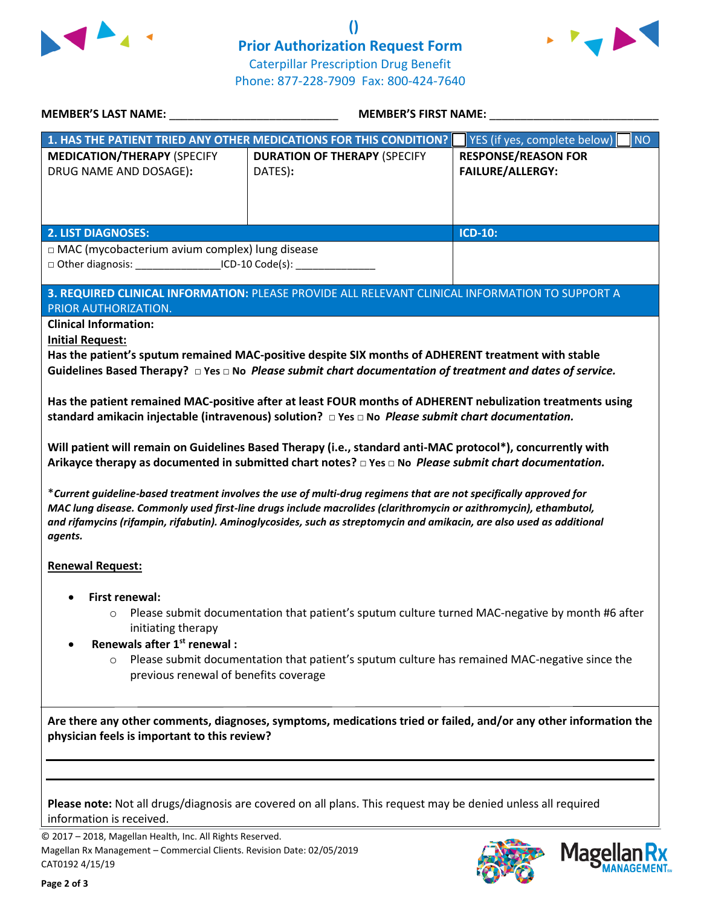



| MEMBER'S LAST NAME: NAME                                                                                                                                                                                                                                                                                                                                   | <b>MEMBER'S FIRST NAME:</b>                                                                                                                                                                                                                                                                                                                                                                                                                                                                                                                                                                                                                                                                                                                                                                                                                                                                                                                                                                                                                                           |                                                                                                                  |  |
|------------------------------------------------------------------------------------------------------------------------------------------------------------------------------------------------------------------------------------------------------------------------------------------------------------------------------------------------------------|-----------------------------------------------------------------------------------------------------------------------------------------------------------------------------------------------------------------------------------------------------------------------------------------------------------------------------------------------------------------------------------------------------------------------------------------------------------------------------------------------------------------------------------------------------------------------------------------------------------------------------------------------------------------------------------------------------------------------------------------------------------------------------------------------------------------------------------------------------------------------------------------------------------------------------------------------------------------------------------------------------------------------------------------------------------------------|------------------------------------------------------------------------------------------------------------------|--|
|                                                                                                                                                                                                                                                                                                                                                            | 1. HAS THE PATIENT TRIED ANY OTHER MEDICATIONS FOR THIS CONDITION?                                                                                                                                                                                                                                                                                                                                                                                                                                                                                                                                                                                                                                                                                                                                                                                                                                                                                                                                                                                                    | <b>NO</b><br>YES (if yes, complete below)                                                                        |  |
| <b>MEDICATION/THERAPY (SPECIFY</b><br>DRUG NAME AND DOSAGE):                                                                                                                                                                                                                                                                                               | <b>DURATION OF THERAPY (SPECIFY</b><br>DATES):                                                                                                                                                                                                                                                                                                                                                                                                                                                                                                                                                                                                                                                                                                                                                                                                                                                                                                                                                                                                                        | <b>RESPONSE/REASON FOR</b><br><b>FAILURE/ALLERGY:</b>                                                            |  |
| <b>2. LIST DIAGNOSES:</b>                                                                                                                                                                                                                                                                                                                                  |                                                                                                                                                                                                                                                                                                                                                                                                                                                                                                                                                                                                                                                                                                                                                                                                                                                                                                                                                                                                                                                                       | <b>ICD-10:</b>                                                                                                   |  |
| $\Box$ MAC (mycobacterium avium complex) lung disease<br>□ Other diagnosis: ____________________ICD-10 Code(s): __________                                                                                                                                                                                                                                 |                                                                                                                                                                                                                                                                                                                                                                                                                                                                                                                                                                                                                                                                                                                                                                                                                                                                                                                                                                                                                                                                       |                                                                                                                  |  |
| PRIOR AUTHORIZATION.                                                                                                                                                                                                                                                                                                                                       | 3. REQUIRED CLINICAL INFORMATION: PLEASE PROVIDE ALL RELEVANT CLINICAL INFORMATION TO SUPPORT A                                                                                                                                                                                                                                                                                                                                                                                                                                                                                                                                                                                                                                                                                                                                                                                                                                                                                                                                                                       |                                                                                                                  |  |
| agents.<br><b>Renewal Request:</b>                                                                                                                                                                                                                                                                                                                         | Has the patient's sputum remained MAC-positive despite SIX months of ADHERENT treatment with stable<br>Guidelines Based Therapy? $\Box$ Yes $\Box$ No <i>Please submit chart documentation of treatment and dates of service.</i><br>Has the patient remained MAC-positive after at least FOUR months of ADHERENT nebulization treatments using<br>standard amikacin injectable (intravenous) solution? $\Box$ Yes $\Box$ No Please submit chart documentation.<br>Will patient will remain on Guidelines Based Therapy (i.e., standard anti-MAC protocol*), concurrently with<br>Arikayce therapy as documented in submitted chart notes? $\Box$ Yes $\Box$ No Please submit chart documentation.<br>*Current guideline-based treatment involves the use of multi-drug regimens that are not specifically approved for<br>MAC lung disease. Commonly used first-line drugs include macrolides (clarithromycin or azithromycin), ethambutol,<br>and rifamycins (rifampin, rifabutin). Aminoglycosides, such as streptomycin and amikacin, are also used as additional |                                                                                                                  |  |
| <b>First renewal:</b><br>Please submit documentation that patient's sputum culture turned MAC-negative by month #6 after<br>$\circ$<br>initiating therapy<br>Renewals after 1 <sup>st</sup> renewal :<br>Please submit documentation that patient's sputum culture has remained MAC-negative since the<br>$\circ$<br>previous renewal of benefits coverage |                                                                                                                                                                                                                                                                                                                                                                                                                                                                                                                                                                                                                                                                                                                                                                                                                                                                                                                                                                                                                                                                       |                                                                                                                  |  |
| physician feels is important to this review?                                                                                                                                                                                                                                                                                                               |                                                                                                                                                                                                                                                                                                                                                                                                                                                                                                                                                                                                                                                                                                                                                                                                                                                                                                                                                                                                                                                                       | Are there any other comments, diagnoses, symptoms, medications tried or failed, and/or any other information the |  |
| information is received.                                                                                                                                                                                                                                                                                                                                   | Please note: Not all drugs/diagnosis are covered on all plans. This request may be denied unless all required                                                                                                                                                                                                                                                                                                                                                                                                                                                                                                                                                                                                                                                                                                                                                                                                                                                                                                                                                         |                                                                                                                  |  |

© 2017 – 2018, Magellan Health, Inc. All Rights Reserved. Magellan Rx Management – Commercial Clients. Revision Date: 02/05/2019 CAT0192 4/15/19